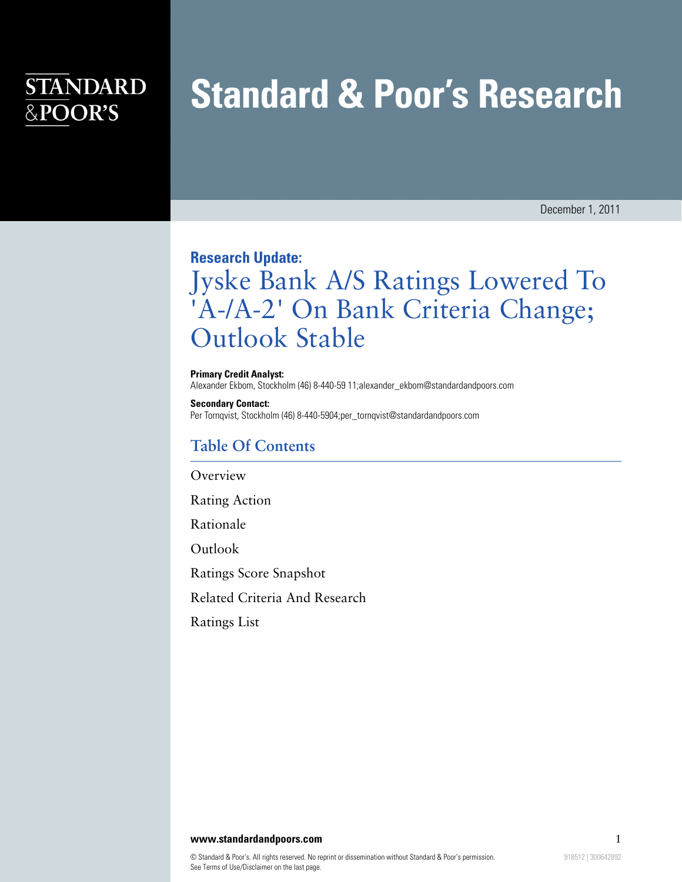## **STANDARD** &POOR'S

# **Standard & Poor's Research**

December 1, 2011

#### **Research Update:**

# Jyske Bank A/S Ratings Lowered To 'A-/A-2' On Bank Criteria Change; Outlook Stable

**Primary Credit Analyst:** Alexander Ekbom, Stockholm (46) 8-440-59 11;alexander\_ekbom@standardandpoors.com

**Secondary Contact:** Per Tornqvist, Stockholm (46) 8-440-5904;per\_tornqvist@standardandpoors.com

### **Table Of Contents**

[Overview](#page-1-0)

[Rating Action](#page-1-1)

[Rationale](#page-1-2)

[Outlook](#page-3-0)

[Ratings Score Snapshot](#page-3-1)

[Related Criteria And Research](#page-4-0)

[Ratings List](#page-4-1)

#### **www.standardandpoors.com** 1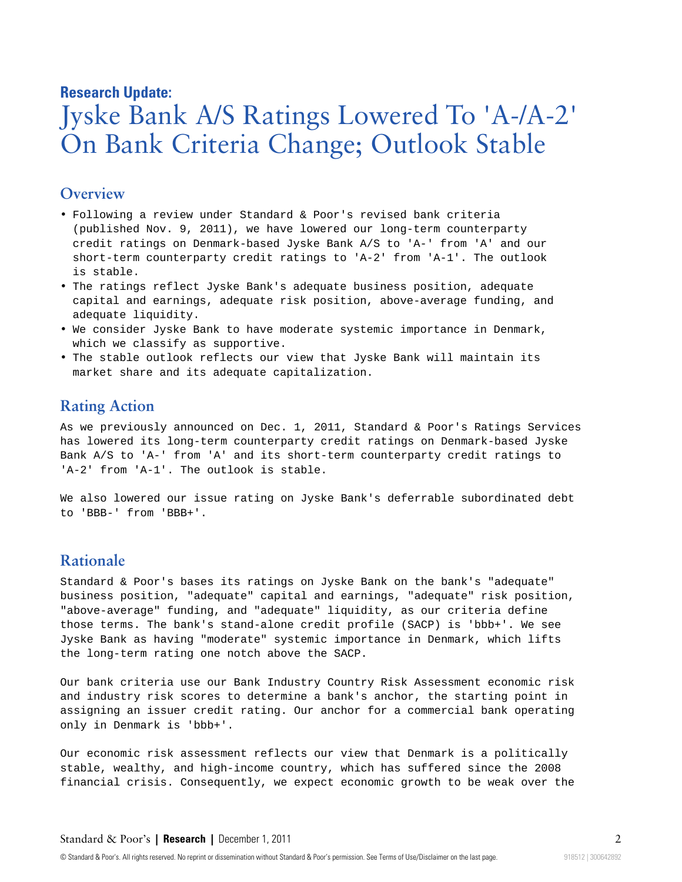#### **Research Update:**

# Jyske Bank A/S Ratings Lowered To 'A-/A-2' On Bank Criteria Change; Outlook Stable

#### <span id="page-1-0"></span>**Overview**

- Following a review under Standard & Poor's revised bank criteria (published Nov. 9, 2011), we have lowered our long-term counterparty credit ratings on Denmark-based Jyske Bank A/S to 'A-' from 'A' and our short-term counterparty credit ratings to 'A-2' from 'A-1'. The outlook is stable.
- The ratings reflect Jyske Bank's adequate business position, adequate capital and earnings, adequate risk position, above-average funding, and adequate liquidity.
- We consider Jyske Bank to have moderate systemic importance in Denmark, which we classify as supportive.
- <span id="page-1-1"></span>• The stable outlook reflects our view that Jyske Bank will maintain its market share and its adequate capitalization.

#### **Rating Action**

As we previously announced on Dec. 1, 2011, Standard & Poor's Ratings Services has lowered its long-term counterparty credit ratings on Denmark-based Jyske Bank A/S to 'A-' from 'A' and its short-term counterparty credit ratings to 'A-2' from 'A-1'. The outlook is stable.

We also lowered our issue rating on Jyske Bank's deferrable subordinated debt to 'BBB-' from 'BBB+'.

#### <span id="page-1-2"></span>**Rationale**

Standard & Poor's bases its ratings on Jyske Bank on the bank's "adequate" business position, "adequate" capital and earnings, "adequate" risk position, "above-average" funding, and "adequate" liquidity, as our criteria define those terms. The bank's stand-alone credit profile (SACP) is 'bbb+'. We see Jyske Bank as having "moderate" systemic importance in Denmark, which lifts the long-term rating one notch above the SACP.

Our bank criteria use our Bank Industry Country Risk Assessment economic risk and industry risk scores to determine a bank's anchor, the starting point in assigning an issuer credit rating. Our anchor for a commercial bank operating only in Denmark is 'bbb+'.

Our economic risk assessment reflects our view that Denmark is a politically stable, wealthy, and high-income country, which has suffered since the 2008 financial crisis. Consequently, we expect economic growth to be weak over the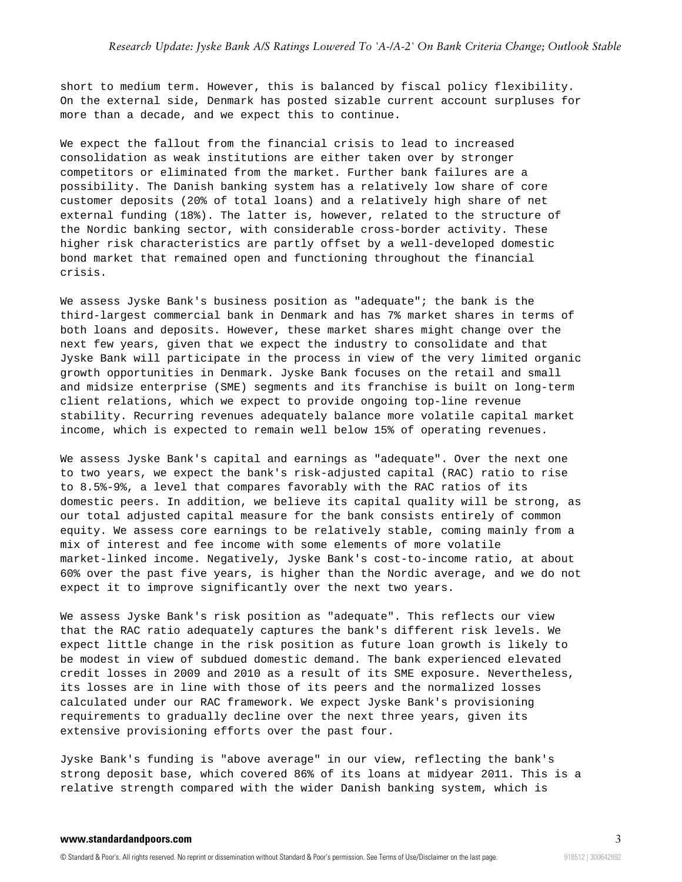short to medium term. However, this is balanced by fiscal policy flexibility. On the external side, Denmark has posted sizable current account surpluses for more than a decade, and we expect this to continue.

We expect the fallout from the financial crisis to lead to increased consolidation as weak institutions are either taken over by stronger competitors or eliminated from the market. Further bank failures are a possibility. The Danish banking system has a relatively low share of core customer deposits (20% of total loans) and a relatively high share of net external funding (18%). The latter is, however, related to the structure of the Nordic banking sector, with considerable cross-border activity. These higher risk characteristics are partly offset by a well-developed domestic bond market that remained open and functioning throughout the financial crisis.

We assess Jyske Bank's business position as "adequate"; the bank is the third-largest commercial bank in Denmark and has 7% market shares in terms of both loans and deposits. However, these market shares might change over the next few years, given that we expect the industry to consolidate and that Jyske Bank will participate in the process in view of the very limited organic growth opportunities in Denmark. Jyske Bank focuses on the retail and small and midsize enterprise (SME) segments and its franchise is built on long-term client relations, which we expect to provide ongoing top-line revenue stability. Recurring revenues adequately balance more volatile capital market income, which is expected to remain well below 15% of operating revenues.

We assess Jyske Bank's capital and earnings as "adequate". Over the next one to two years, we expect the bank's risk-adjusted capital (RAC) ratio to rise to 8.5%-9%, a level that compares favorably with the RAC ratios of its domestic peers. In addition, we believe its capital quality will be strong, as our total adjusted capital measure for the bank consists entirely of common equity. We assess core earnings to be relatively stable, coming mainly from a mix of interest and fee income with some elements of more volatile market-linked income. Negatively, Jyske Bank's cost-to-income ratio, at about 60% over the past five years, is higher than the Nordic average, and we do not expect it to improve significantly over the next two years.

We assess Jyske Bank's risk position as "adequate". This reflects our view that the RAC ratio adequately captures the bank's different risk levels. We expect little change in the risk position as future loan growth is likely to be modest in view of subdued domestic demand. The bank experienced elevated credit losses in 2009 and 2010 as a result of its SME exposure. Nevertheless, its losses are in line with those of its peers and the normalized losses calculated under our RAC framework. We expect Jyske Bank's provisioning requirements to gradually decline over the next three years, given its extensive provisioning efforts over the past four.

Jyske Bank's funding is "above average" in our view, reflecting the bank's strong deposit base, which covered 86% of its loans at midyear 2011. This is a relative strength compared with the wider Danish banking system, which is

#### **www.standardandpoors.com** 3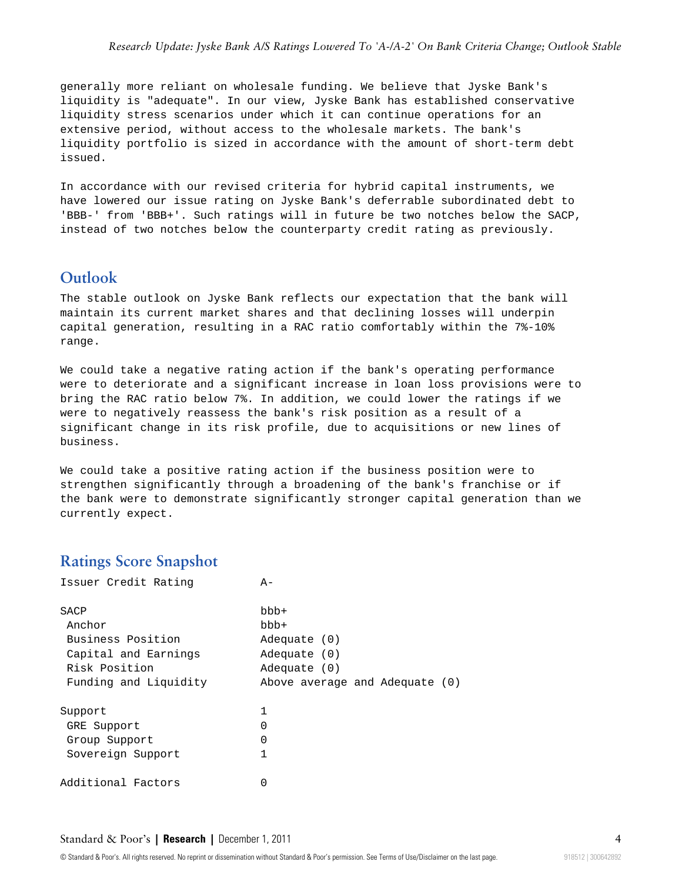generally more reliant on wholesale funding. We believe that Jyske Bank's liquidity is "adequate". In our view, Jyske Bank has established conservative liquidity stress scenarios under which it can continue operations for an extensive period, without access to the wholesale markets. The bank's liquidity portfolio is sized in accordance with the amount of short-term debt issued.

In accordance with our revised criteria for hybrid capital instruments, we have lowered our issue rating on Jyske Bank's deferrable subordinated debt to 'BBB-' from 'BBB+'. Such ratings will in future be two notches below the SACP, instead of two notches below the counterparty credit rating as previously.

### <span id="page-3-0"></span>**Outlook**

The stable outlook on Jyske Bank reflects our expectation that the bank will maintain its current market shares and that declining losses will underpin capital generation, resulting in a RAC ratio comfortably within the 7%-10% range.

We could take a negative rating action if the bank's operating performance were to deteriorate and a significant increase in loan loss provisions were to bring the RAC ratio below 7%. In addition, we could lower the ratings if we were to negatively reassess the bank's risk position as a result of a significant change in its risk profile, due to acquisitions or new lines of business.

We could take a positive rating action if the business position were to strengthen significantly through a broadening of the bank's franchise or if the bank were to demonstrate significantly stronger capital generation than we currently expect.

#### <span id="page-3-1"></span>**Ratings Score Snapshot**

| Issuer Credit Rating  | $A -$                          |
|-----------------------|--------------------------------|
| SACP                  | $bbb +$                        |
| Anchor                | bbb+                           |
| Business Position     | Adequate (0)                   |
| Capital and Earnings  | Adequate $(0)$                 |
| Risk Position         | Adequate $(0)$                 |
| Funding and Liquidity | Above average and Adequate (0) |
| Support               | 1                              |
| GRE Support           | U                              |
| Group Support         | 0                              |
| Sovereign Support     | 1                              |
| Additional Factors    | 0                              |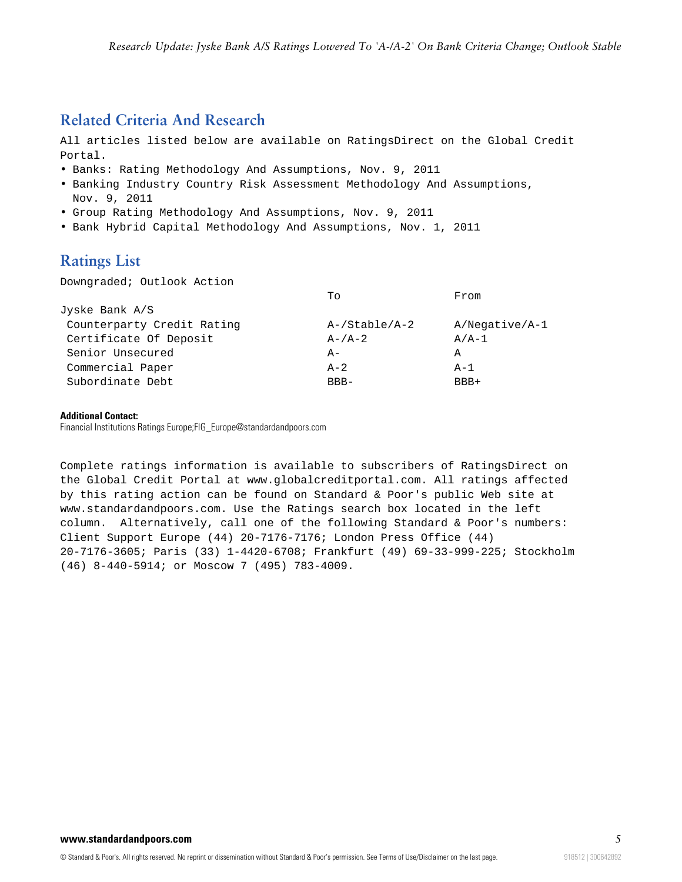### <span id="page-4-0"></span>**Related Criteria And Research**

All articles listed below are available on RatingsDirect on the Global Credit Portal.

- Banks: Rating Methodology And Assumptions, Nov. 9, 2011
- Banking Industry Country Risk Assessment Methodology And Assumptions, Nov. 9, 2011
- Group Rating Methodology And Assumptions, Nov. 9, 2011
- <span id="page-4-1"></span>• Bank Hybrid Capital Methodology And Assumptions, Nov. 1, 2011

### **Ratings List**

Downgraded; Outlook Action

|                            | Tο            | From           |
|----------------------------|---------------|----------------|
| Jyske Bank $A/S$           |               |                |
| Counterparty Credit Rating | A-/Stable/A-2 | A/Negative/A-1 |
| Certificate Of Deposit     | $A - /A - 2$  | $A/A-1$        |
| Senior Unsecured           | $A -$         | А              |
| Commercial Paper           | $A - 2$       | $A - 1$        |
| Subordinate Debt           | $RBR-$        | BBB+           |

#### **Additional Contact:**

Financial Institutions Ratings Europe;FIG\_Europe@standardandpoors.com

Complete ratings information is available to subscribers of RatingsDirect on the Global Credit Portal at www.globalcreditportal.com. All ratings affected by this rating action can be found on Standard & Poor's public Web site at www.standardandpoors.com. Use the Ratings search box located in the left column. Alternatively, call one of the following Standard & Poor's numbers: Client Support Europe (44) 20-7176-7176; London Press Office (44) 20-7176-3605; Paris (33) 1-4420-6708; Frankfurt (49) 69-33-999-225; Stockholm (46) 8-440-5914; or Moscow 7 (495) 783-4009.